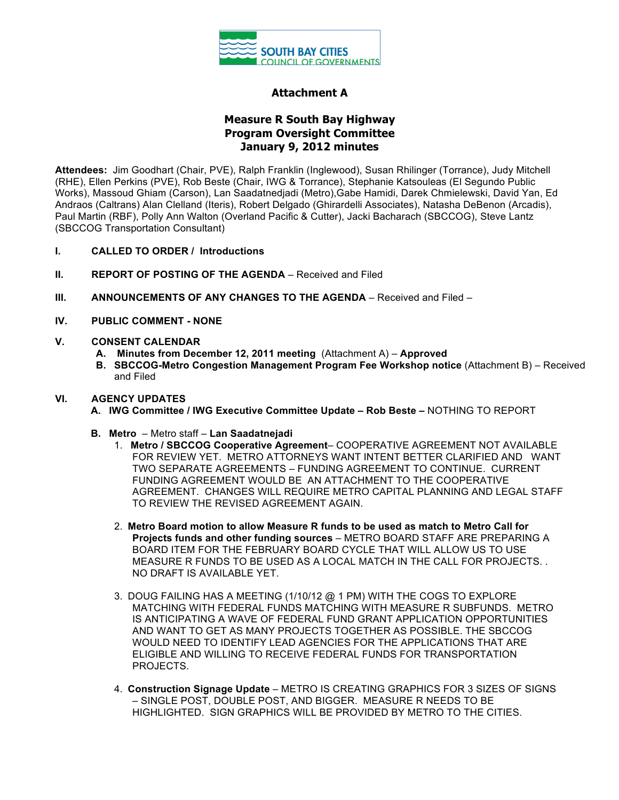

## **Attachment A**

# **Measure R South Bay Highway Program Oversight Committee January 9, 2012 minutes**

**Attendees:** Jim Goodhart (Chair, PVE), Ralph Franklin (Inglewood), Susan Rhilinger (Torrance), Judy Mitchell (RHE), Ellen Perkins (PVE), Rob Beste (Chair, IWG & Torrance), Stephanie Katsouleas (El Segundo Public Works), Massoud Ghiam (Carson), Lan Saadatnedjadi (Metro),Gabe Hamidi, Darek Chmielewski, David Yan, Ed Andraos (Caltrans) Alan Clelland (Iteris), Robert Delgado (Ghirardelli Associates), Natasha DeBenon (Arcadis), Paul Martin (RBF), Polly Ann Walton (Overland Pacific & Cutter), Jacki Bacharach (SBCCOG), Steve Lantz (SBCCOG Transportation Consultant)

- **I. CALLED TO ORDER / Introductions**
- **II. REPORT OF POSTING OF THE AGENDA** Received and Filed
- **III. ANNOUNCEMENTS OF ANY CHANGES TO THE AGENDA** Received and Filed –
- **IV. PUBLIC COMMENT - NONE**

#### **V. CONSENT CALENDAR**

- **A. Minutes from December 12, 2011 meeting** (Attachment A) **Approved**
- **B. SBCCOG-Metro Congestion Management Program Fee Workshop notice** (Attachment B) Received and Filed

#### **VI. AGENCY UPDATES**

- **A. IWG Committee / IWG Executive Committee Update – Rob Beste –** NOTHING TO REPORT
- **B. Metro**  Metro staff **Lan Saadatnejadi**
	- 1. **Metro / SBCCOG Cooperative Agreement** COOPERATIVE AGREEMENT NOT AVAILABLE FOR REVIEW YET. METRO ATTORNEYS WANT INTENT BETTER CLARIFIED AND WANT TWO SEPARATE AGREEMENTS – FUNDING AGREEMENT TO CONTINUE. CURRENT FUNDING AGREEMENT WOULD BE AN ATTACHMENT TO THE COOPERATIVE AGREEMENT. CHANGES WILL REQUIRE METRO CAPITAL PLANNING AND LEGAL STAFF TO REVIEW THE REVISED AGREEMENT AGAIN.
	- 2. **Metro Board motion to allow Measure R funds to be used as match to Metro Call for Projects funds and other funding sources** – METRO BOARD STAFF ARE PREPARING A BOARD ITEM FOR THE FEBRUARY BOARD CYCLE THAT WILL ALLOW US TO USE MEASURE R FUNDS TO BE USED AS A LOCAL MATCH IN THE CALL FOR PROJECTS. . NO DRAFT IS AVAILABLE YET.
	- 3. DOUG FAILING HAS A MEETING (1/10/12 @ 1 PM) WITH THE COGS TO EXPLORE MATCHING WITH FEDERAL FUNDS MATCHING WITH MEASURE R SUBFUNDS. METRO IS ANTICIPATING A WAVE OF FEDERAL FUND GRANT APPLICATION OPPORTUNITIES AND WANT TO GET AS MANY PROJECTS TOGETHER AS POSSIBLE. THE SBCCOG WOULD NEED TO IDENTIFY LEAD AGENCIES FOR THE APPLICATIONS THAT ARE ELIGIBLE AND WILLING TO RECEIVE FEDERAL FUNDS FOR TRANSPORTATION PROJECTS.
	- 4. **Construction Signage Update**  METRO IS CREATING GRAPHICS FOR 3 SIZES OF SIGNS – SINGLE POST, DOUBLE POST, AND BIGGER. MEASURE R NEEDS TO BE HIGHLIGHTED. SIGN GRAPHICS WILL BE PROVIDED BY METRO TO THE CITIES.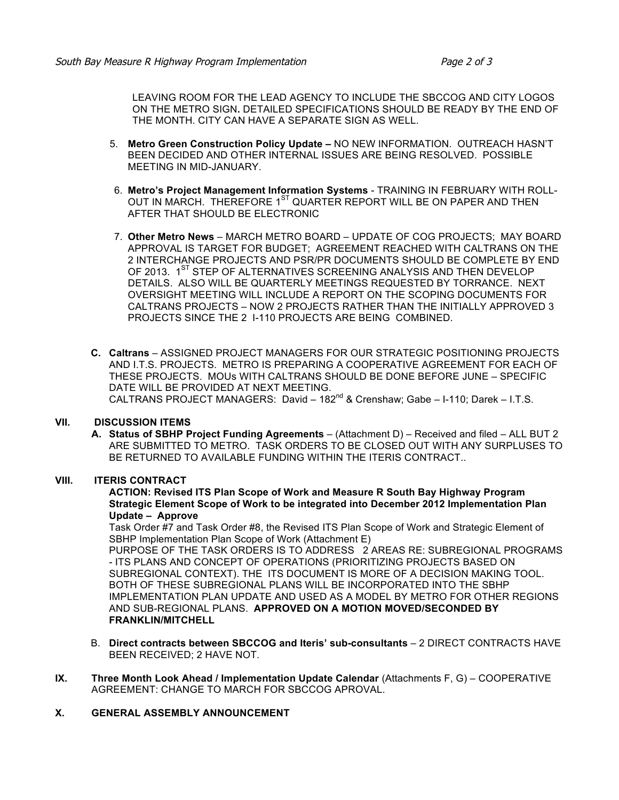LEAVING ROOM FOR THE LEAD AGENCY TO INCLUDE THE SBCCOG AND CITY LOGOS ON THE METRO SIGN**.** DETAILED SPECIFICATIONS SHOULD BE READY BY THE END OF THE MONTH. CITY CAN HAVE A SEPARATE SIGN AS WELL.

- 5. **Metro Green Construction Policy Update –** NO NEW INFORMATION. OUTREACH HASN'T BEEN DECIDED AND OTHER INTERNAL ISSUES ARE BEING RESOLVED. POSSIBLE MEETING IN MID-JANUARY.
- 6. **Metro's Project Management Information Systems** TRAINING IN FEBRUARY WITH ROLL-OUT IN MARCH. THEREFORE 1<sup>ST</sup> QUARTER REPORT WILL BE ON PAPER AND THEN AFTER THAT SHOULD BE ELECTRONIC
- 7. **Other Metro News** MARCH METRO BOARD UPDATE OF COG PROJECTS; MAY BOARD APPROVAL IS TARGET FOR BUDGET; AGREEMENT REACHED WITH CALTRANS ON THE 2 INTERCHANGE PROJECTS AND PSR/PR DOCUMENTS SHOULD BE COMPLETE BY END OF 2013. 1<sup>ST</sup> STEP OF ALTERNATIVES SCREENING ANALYSIS AND THEN DEVELOP DETAILS. ALSO WILL BE QUARTERLY MEETINGS REQUESTED BY TORRANCE. NEXT OVERSIGHT MEETING WILL INCLUDE A REPORT ON THE SCOPING DOCUMENTS FOR CALTRANS PROJECTS – NOW 2 PROJECTS RATHER THAN THE INITIALLY APPROVED 3 PROJECTS SINCE THE 2 I-110 PROJECTS ARE BEING COMBINED.
- **C. Caltrans**  ASSIGNED PROJECT MANAGERS FOR OUR STRATEGIC POSITIONING PROJECTS AND I.T.S. PROJECTS. METRO IS PREPARING A COOPERATIVE AGREEMENT FOR EACH OF THESE PROJECTS. MOUs WITH CALTRANS SHOULD BE DONE BEFORE JUNE – SPECIFIC DATE WILL BE PROVIDED AT NEXT MEETING. CALTRANS PROJECT MANAGERS: David - 182<sup>nd</sup> & Crenshaw; Gabe - I-110; Darek - I.T.S.

### **VII. DISCUSSION ITEMS**

**A. Status of SBHP Project Funding Agreements** – (Attachment D) – Received and filed – ALL BUT 2 ARE SUBMITTED TO METRO. TASK ORDERS TO BE CLOSED OUT WITH ANY SURPLUSES TO BE RETURNED TO AVAILABLE FUNDING WITHIN THE ITERIS CONTRACT..

#### **VIII. ITERIS CONTRACT**

**ACTION: Revised ITS Plan Scope of Work and Measure R South Bay Highway Program Strategic Element Scope of Work to be integrated into December 2012 Implementation Plan Update – Approve**

Task Order #7 and Task Order #8, the Revised ITS Plan Scope of Work and Strategic Element of SBHP Implementation Plan Scope of Work (Attachment E)

PURPOSE OF THE TASK ORDERS IS TO ADDRESS 2 AREAS RE: SUBREGIONAL PROGRAMS - ITS PLANS AND CONCEPT OF OPERATIONS (PRIORITIZING PROJECTS BASED ON SUBREGIONAL CONTEXT). THE ITS DOCUMENT IS MORE OF A DECISION MAKING TOOL. BOTH OF THESE SUBREGIONAL PLANS WILL BE INCORPORATED INTO THE SBHP IMPLEMENTATION PLAN UPDATE AND USED AS A MODEL BY METRO FOR OTHER REGIONS AND SUB-REGIONAL PLANS. **APPROVED ON A MOTION MOVED/SECONDED BY FRANKLIN/MITCHELL**

- B. **Direct contracts between SBCCOG and Iteris' sub-consultants** 2 DIRECT CONTRACTS HAVE BEEN RECEIVED; 2 HAVE NOT.
- **IX. Three Month Look Ahead / Implementation Update Calendar** (Attachments F, G) COOPERATIVE AGREEMENT: CHANGE TO MARCH FOR SBCCOG APROVAL.

#### **X. GENERAL ASSEMBLY ANNOUNCEMENT**